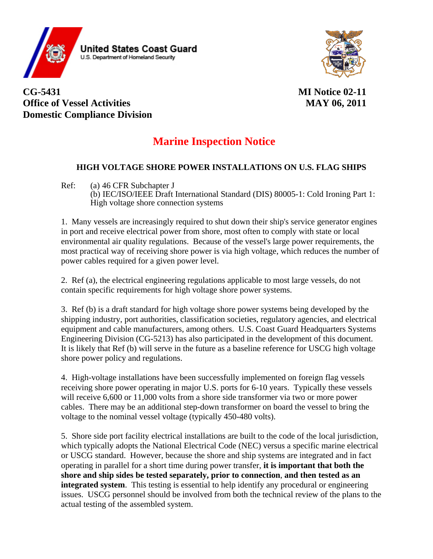

**CG-5431 MI Notice 02-11 Office of Vessel Activities** MAY 06, 2011 **Domestic Compliance Division** 

## **Marine Inspection Notice**

## **HIGH VOLTAGE SHORE POWER INSTALLATIONS ON U.S. FLAG SHIPS**

Ref: (a) 46 CFR Subchapter J (b) IEC/ISO/IEEE Draft International Standard (DIS) 80005-1: Cold Ironing Part 1: High voltage shore connection systems

1. Many vessels are increasingly required to shut down their ship's service generator engines in port and receive electrical power from shore, most often to comply with state or local environmental air quality regulations. Because of the vessel's large power requirements, the most practical way of receiving shore power is via high voltage, which reduces the number of power cables required for a given power level.

2. Ref (a), the electrical engineering regulations applicable to most large vessels, do not contain specific requirements for high voltage shore power systems.

3. Ref (b) is a draft standard for high voltage shore power systems being developed by the shipping industry, port authorities, classification societies, regulatory agencies, and electrical equipment and cable manufacturers, among others. U.S. Coast Guard Headquarters Systems Engineering Division (CG-5213) has also participated in the development of this document. It is likely that Ref (b) will serve in the future as a baseline reference for USCG high voltage shore power policy and regulations.

4. High-voltage installations have been successfully implemented on foreign flag vessels receiving shore power operating in major U.S. ports for 6-10 years. Typically these vessels will receive 6,600 or 11,000 volts from a shore side transformer via two or more power cables. There may be an additional step-down transformer on board the vessel to bring the voltage to the nominal vessel voltage (typically 450-480 volts).

5. Shore side port facility electrical installations are built to the code of the local jurisdiction, which typically adopts the National Electrical Code (NEC) versus a specific marine electrical or USCG standard. However, because the shore and ship systems are integrated and in fact operating in parallel for a short time during power transfer, **it is important that both the shore and ship sides be tested separately, prior to connection**, **and then tested as an integrated system**. This testing is essential to help identify any procedural or engineering issues. USCG personnel should be involved from both the technical review of the plans to the actual testing of the assembled system.